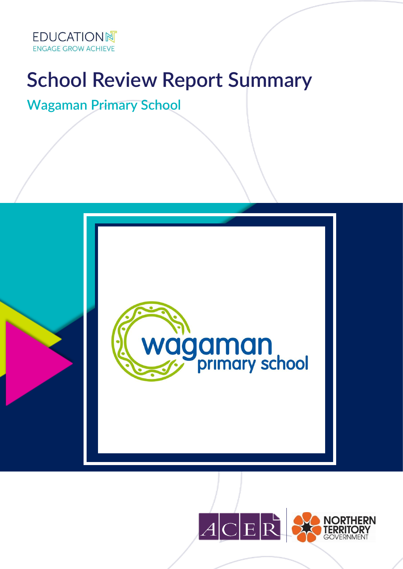

# **School Review Report Summary**

**Wagaman Primary School**



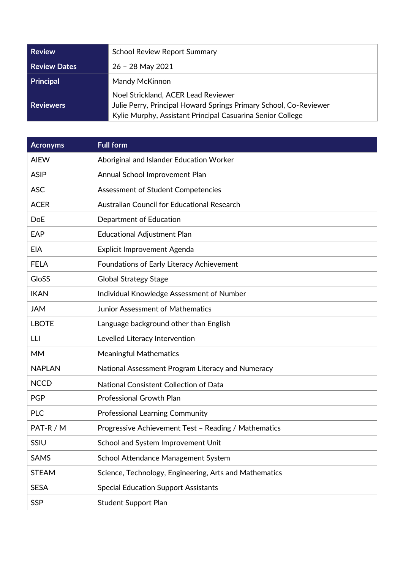| Review              | <b>School Review Report Summary</b>                                                                                                                                    |
|---------------------|------------------------------------------------------------------------------------------------------------------------------------------------------------------------|
| <b>Review Dates</b> | $26 - 28$ May 2021                                                                                                                                                     |
| Principal           | Mandy McKinnon                                                                                                                                                         |
| Reviewers           | Noel Strickland, ACER Lead Reviewer<br>Julie Perry, Principal Howard Springs Primary School, Co-Reviewer<br>Kylie Murphy, Assistant Principal Casuarina Senior College |

| <b>Acronyms</b> | <b>Full form</b>                                       |
|-----------------|--------------------------------------------------------|
| <b>AIEW</b>     | Aboriginal and Islander Education Worker               |
| <b>ASIP</b>     | Annual School Improvement Plan                         |
| <b>ASC</b>      | Assessment of Student Competencies                     |
| <b>ACER</b>     | Australian Council for Educational Research            |
| <b>DoE</b>      | Department of Education                                |
| EAP             | <b>Educational Adjustment Plan</b>                     |
| <b>EIA</b>      | Explicit Improvement Agenda                            |
| <b>FELA</b>     | Foundations of Early Literacy Achievement              |
| GloSS           | <b>Global Strategy Stage</b>                           |
| <b>IKAN</b>     | Individual Knowledge Assessment of Number              |
| <b>JAM</b>      | <b>Junior Assessment of Mathematics</b>                |
| <b>LBOTE</b>    | Language background other than English                 |
| LLI             | Levelled Literacy Intervention                         |
| <b>MM</b>       | <b>Meaningful Mathematics</b>                          |
| <b>NAPLAN</b>   | National Assessment Program Literacy and Numeracy      |
| <b>NCCD</b>     | National Consistent Collection of Data                 |
| <b>PGP</b>      | <b>Professional Growth Plan</b>                        |
| <b>PLC</b>      | <b>Professional Learning Community</b>                 |
| PAT-R / M       | Progressive Achievement Test - Reading / Mathematics   |
| SSIU            | School and System Improvement Unit                     |
| <b>SAMS</b>     | School Attendance Management System                    |
| <b>STEAM</b>    | Science, Technology, Engineering, Arts and Mathematics |
| <b>SESA</b>     | <b>Special Education Support Assistants</b>            |
| <b>SSP</b>      | <b>Student Support Plan</b>                            |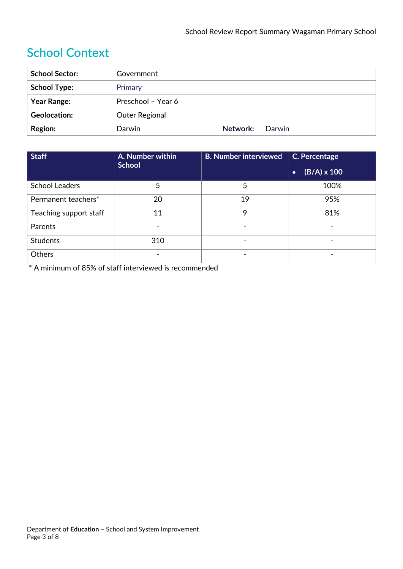## **School Context**

| <b>School Sector:</b> | Government            |          |        |
|-----------------------|-----------------------|----------|--------|
| <b>School Type:</b>   | Primary               |          |        |
| <b>Year Range:</b>    | Preschool - Year 6    |          |        |
| <b>Geolocation:</b>   | <b>Outer Regional</b> |          |        |
| <b>Region:</b>        | Darwin                | Network: | Darwin |

| <b>Staff</b>           | A. Number within | <b>B. Number interviewed</b> | C. Percentage                             |
|------------------------|------------------|------------------------------|-------------------------------------------|
|                        | <b>School</b>    |                              | $\overline{B/A)} \times 100$<br>$\bullet$ |
| <b>School Leaders</b>  | 5                | 5                            | 100%                                      |
| Permanent teachers*    | 20               | 19                           | 95%                                       |
| Teaching support staff | 11               | 9                            | 81%                                       |
| Parents                |                  |                              |                                           |
| <b>Students</b>        | 310              |                              | $\qquad \qquad \blacksquare$              |
| <b>Others</b>          |                  |                              |                                           |

\* A minimum of 85% of staff interviewed is recommended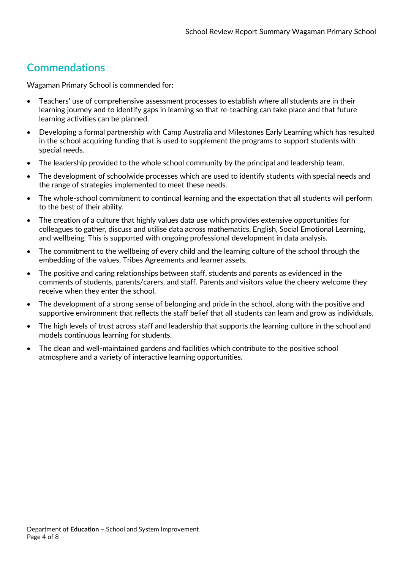#### **Commendations**

Wagaman Primary School is commended for:

- Teachers' use of comprehensive assessment processes to establish where all students are in their learning journey and to identify gaps in learning so that re-teaching can take place and that future learning activities can be planned.
- Developing a formal partnership with Camp Australia and Milestones Early Learning which has resulted in the school acquiring funding that is used to supplement the programs to support students with special needs.
- The leadership provided to the whole school community by the principal and leadership team.
- The development of schoolwide processes which are used to identify students with special needs and the range of strategies implemented to meet these needs.
- The whole-school commitment to continual learning and the expectation that all students will perform to the best of their ability.
- The creation of a culture that highly values data use which provides extensive opportunities for colleagues to gather, discuss and utilise data across mathematics, English, Social Emotional Learning, and wellbeing. This is supported with ongoing professional development in data analysis.
- The commitment to the wellbeing of every child and the learning culture of the school through the embedding of the values, Tribes Agreements and learner assets.
- The positive and caring relationships between staff, students and parents as evidenced in the comments of students, parents/carers, and staff. Parents and visitors value the cheery welcome they receive when they enter the school.
- The development of a strong sense of belonging and pride in the school, along with the positive and supportive environment that reflects the staff belief that all students can learn and grow as individuals.
- The high levels of trust across staff and leadership that supports the learning culture in the school and models continuous learning for students.
- The clean and well-maintained gardens and facilities which contribute to the positive school atmosphere and a variety of interactive learning opportunities.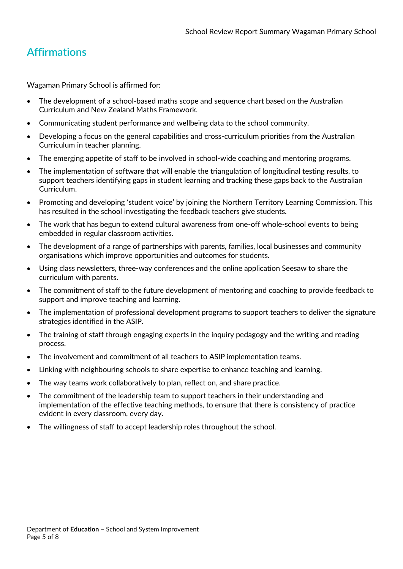### **Affirmations**

Wagaman Primary School is affirmed for:

- The development of a school-based maths scope and sequence chart based on the Australian Curriculum and New Zealand Maths Framework.
- Communicating student performance and wellbeing data to the school community.
- Developing a focus on the general capabilities and cross-curriculum priorities from the Australian Curriculum in teacher planning.
- The emerging appetite of staff to be involved in school-wide coaching and mentoring programs.
- The implementation of software that will enable the triangulation of longitudinal testing results, to support teachers identifying gaps in student learning and tracking these gaps back to the Australian Curriculum.
- Promoting and developing 'student voice' by joining the Northern Territory Learning Commission. This has resulted in the school investigating the feedback teachers give students.
- The work that has begun to extend cultural awareness from one-off whole-school events to being embedded in regular classroom activities.
- The development of a range of partnerships with parents, families, local businesses and community organisations which improve opportunities and outcomes for students.
- Using class newsletters, three-way conferences and the online application Seesaw to share the curriculum with parents.
- The commitment of staff to the future development of mentoring and coaching to provide feedback to support and improve teaching and learning.
- The implementation of professional development programs to support teachers to deliver the signature strategies identified in the ASIP.
- The training of staff through engaging experts in the inquiry pedagogy and the writing and reading process.
- The involvement and commitment of all teachers to ASIP implementation teams.
- Linking with neighbouring schools to share expertise to enhance teaching and learning.
- The way teams work collaboratively to plan, reflect on, and share practice.
- The commitment of the leadership team to support teachers in their understanding and implementation of the effective teaching methods, to ensure that there is consistency of practice evident in every classroom, every day.
- The willingness of staff to accept leadership roles throughout the school.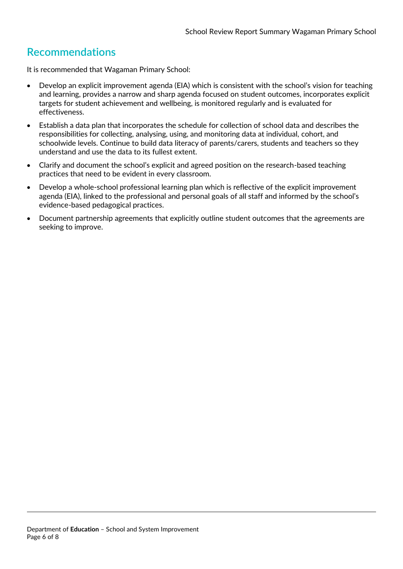#### **Recommendations**

It is recommended that Wagaman Primary School:

- Develop an explicit improvement agenda (EIA) which is consistent with the school's vision for teaching and learning, provides a narrow and sharp agenda focused on student outcomes, incorporates explicit targets for student achievement and wellbeing, is monitored regularly and is evaluated for effectiveness.
- Establish a data plan that incorporates the schedule for collection of school data and describes the responsibilities for collecting, analysing, using, and monitoring data at individual, cohort, and schoolwide levels. Continue to build data literacy of parents/carers, students and teachers so they understand and use the data to its fullest extent.
- Clarify and document the school's explicit and agreed position on the research-based teaching practices that need to be evident in every classroom.
- Develop a whole-school professional learning plan which is reflective of the explicit improvement agenda (EIA), linked to the professional and personal goals of all staff and informed by the school's evidence-based pedagogical practices.
- Document partnership agreements that explicitly outline student outcomes that the agreements are seeking to improve.